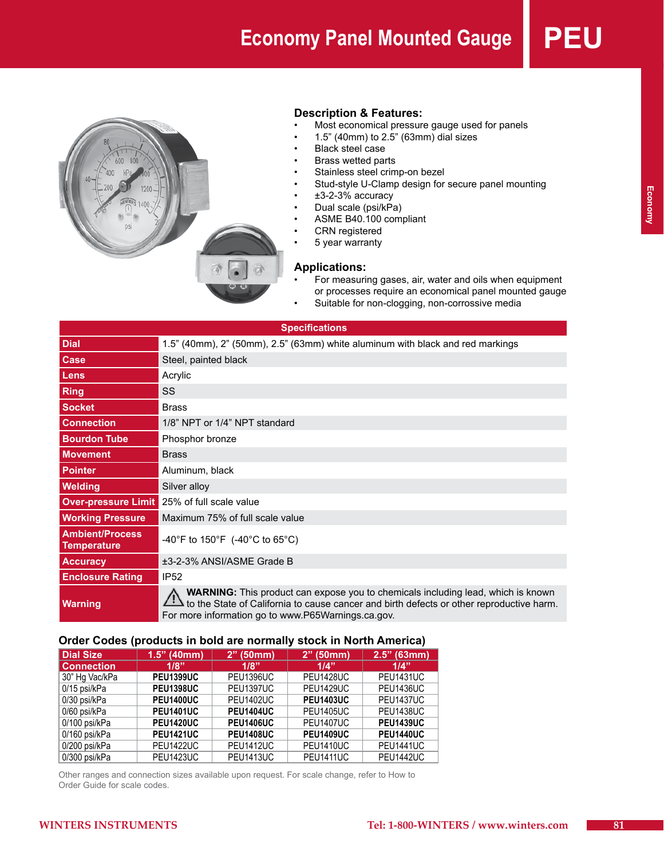# **Economy Panel Mounted Gauge PE**



#### **Description & Features:**

- Most economical pressure gauge used for panels
- 1.5" (40mm) to 2.5" (63mm) dial sizes
- • Black steel case
- **Brass wetted parts**
- Stainless steel crimp-on bezel
- Stud-style U-Clamp design for secure panel mounting
- $\cdot$   $\pm$ 3-2-3% accuracy
- Dual scale (psi/kPa)
- ASME B40.100 compliant
- **CRN** registered
- 5 year warranty

#### **Applications:**

- For measuring gases, air, water and oils when equipment or processes require an economical panel mounted gauge
- Suitable for non-clogging, non-corrossive media

| <b>Specifications</b>                        |                                                                                                                                                                                                                                           |  |  |  |  |
|----------------------------------------------|-------------------------------------------------------------------------------------------------------------------------------------------------------------------------------------------------------------------------------------------|--|--|--|--|
| <b>Dial</b>                                  | 1.5" (40mm), 2" (50mm), 2.5" (63mm) white aluminum with black and red markings                                                                                                                                                            |  |  |  |  |
| Case                                         | Steel, painted black                                                                                                                                                                                                                      |  |  |  |  |
| Lens                                         | Acrylic                                                                                                                                                                                                                                   |  |  |  |  |
| Ring                                         | SS                                                                                                                                                                                                                                        |  |  |  |  |
| <b>Socket</b>                                | <b>Brass</b>                                                                                                                                                                                                                              |  |  |  |  |
| <b>Connection</b>                            | 1/8" NPT or 1/4" NPT standard                                                                                                                                                                                                             |  |  |  |  |
| <b>Bourdon Tube</b>                          | Phosphor bronze                                                                                                                                                                                                                           |  |  |  |  |
| <b>Movement</b>                              | <b>Brass</b>                                                                                                                                                                                                                              |  |  |  |  |
| <b>Pointer</b>                               | Aluminum, black                                                                                                                                                                                                                           |  |  |  |  |
| Welding                                      | Silver alloy                                                                                                                                                                                                                              |  |  |  |  |
|                                              | <b>Over-pressure Limit</b> 25% of full scale value                                                                                                                                                                                        |  |  |  |  |
| <b>Working Pressure</b>                      | Maximum 75% of full scale value                                                                                                                                                                                                           |  |  |  |  |
| <b>Ambient/Process</b><br><b>Temperature</b> | -40°F to 150°F (-40°C to 65°C)                                                                                                                                                                                                            |  |  |  |  |
| <b>Accuracy</b>                              | ±3-2-3% ANSI/ASME Grade B                                                                                                                                                                                                                 |  |  |  |  |
| <b>Enclosure Rating</b>                      | IP52                                                                                                                                                                                                                                      |  |  |  |  |
| <b>Warning</b>                               | <b>WARNING:</b> This product can expose you to chemicals including lead, which is known<br>to the State of California to cause cancer and birth defects or other reproductive harm.<br>For more information go to www.P65Warnings.ca.gov. |  |  |  |  |

#### **Order Codes (products in bold are normally stock in North America)**

| <b>Dial Size</b>  | $1.5"$ (40mm)    | $2"$ (50mm)      | $2"$ (50mm)      | $2.5"$ (63mm)    |
|-------------------|------------------|------------------|------------------|------------------|
| <b>Connection</b> | 1/8"             | 1/8"             | 1/4"             | 1/4"             |
| 30" Hg Vac/kPa    | <b>PEU1399UC</b> | <b>PEU1396UC</b> | <b>PEU1428UC</b> | <b>PEU1431UC</b> |
| 0/15 psi/kPa      | <b>PEU1398UC</b> | PEU1397UC        | <b>PEU1429UC</b> | <b>PEU1436UC</b> |
| 0/30 psi/kPa      | <b>PEU1400UC</b> | <b>PEU1402UC</b> | <b>PEU1403UC</b> | <b>PEU1437UC</b> |
| 0/60 psi/kPa      | <b>PEU1401UC</b> | <b>PEU1404UC</b> | <b>PEU1405UC</b> | <b>PEU1438UC</b> |
| 0/100 psi/kPa     | <b>PEU1420UC</b> | <b>PEU1406UC</b> | <b>PEU1407UC</b> | <b>PEU1439UC</b> |
| 0/160 psi/kPa     | <b>PEU1421UC</b> | <b>PEU1408UC</b> | <b>PEU1409UC</b> | <b>PEU1440UC</b> |
| 0/200 psi/kPa     | <b>PEU1422UC</b> | <b>PEU1412UC</b> | <b>PEU1410UC</b> | <b>PEU1441UC</b> |
| 0/300 psi/kPa     | <b>PEU1423UC</b> | <b>PEU1413UC</b> | <b>PEU1411UC</b> | <b>PEU1442UC</b> |

Other ranges and connection sizes available upon request. For scale change, refer to How to Order Guide for scale codes.